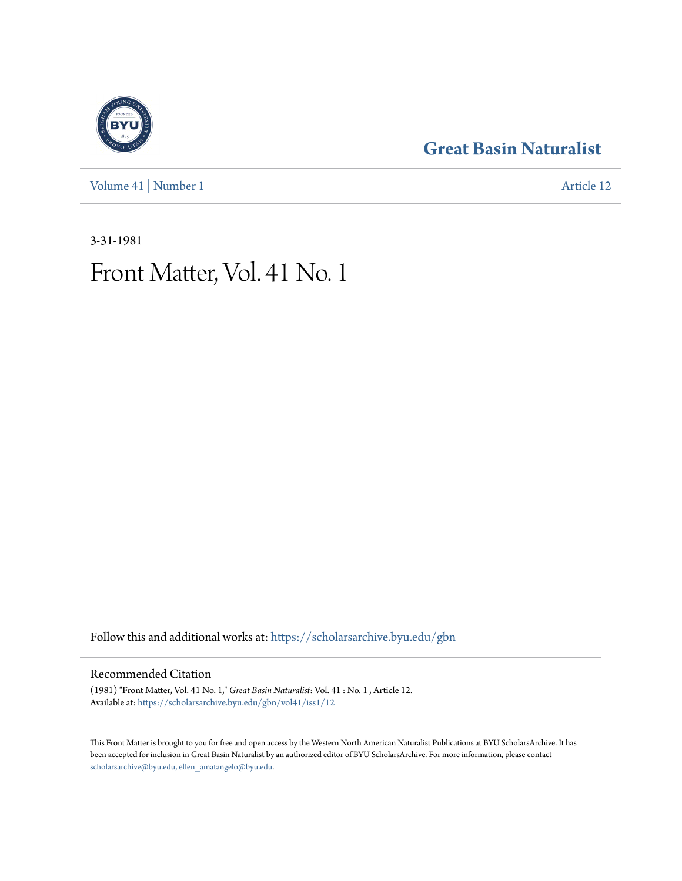[Volume 41](https://scholarsarchive.byu.edu/gbn/vol41?utm_source=scholarsarchive.byu.edu%2Fgbn%2Fvol41%2Fiss1%2F12&utm_medium=PDF&utm_campaign=PDFCoverPages) | [Number 1](https://scholarsarchive.byu.edu/gbn/vol41/iss1?utm_source=scholarsarchive.byu.edu%2Fgbn%2Fvol41%2Fiss1%2F12&utm_medium=PDF&utm_campaign=PDFCoverPages) [Article 12](https://scholarsarchive.byu.edu/gbn/vol41/iss1/12?utm_source=scholarsarchive.byu.edu%2Fgbn%2Fvol41%2Fiss1%2F12&utm_medium=PDF&utm_campaign=PDFCoverPages)

## **[Great Basin Naturalist](https://scholarsarchive.byu.edu/gbn?utm_source=scholarsarchive.byu.edu%2Fgbn%2Fvol41%2Fiss1%2F12&utm_medium=PDF&utm_campaign=PDFCoverPages)**

3-31-1981

# Front Matter, Vol. 41 No. 1

Follow this and additional works at: [https://scholarsarchive.byu.edu/gbn](https://scholarsarchive.byu.edu/gbn?utm_source=scholarsarchive.byu.edu%2Fgbn%2Fvol41%2Fiss1%2F12&utm_medium=PDF&utm_campaign=PDFCoverPages)

#### Recommended Citation

(1981) "Front Matter, Vol. 41 No. 1," *Great Basin Naturalist*: Vol. 41 : No. 1 , Article 12. Available at: [https://scholarsarchive.byu.edu/gbn/vol41/iss1/12](https://scholarsarchive.byu.edu/gbn/vol41/iss1/12?utm_source=scholarsarchive.byu.edu%2Fgbn%2Fvol41%2Fiss1%2F12&utm_medium=PDF&utm_campaign=PDFCoverPages)

This Front Matter is brought to you for free and open access by the Western North American Naturalist Publications at BYU ScholarsArchive. It has been accepted for inclusion in Great Basin Naturalist by an authorized editor of BYU ScholarsArchive. For more information, please contact [scholarsarchive@byu.edu, ellen\\_amatangelo@byu.edu.](mailto:scholarsarchive@byu.edu,%20ellen_amatangelo@byu.edu)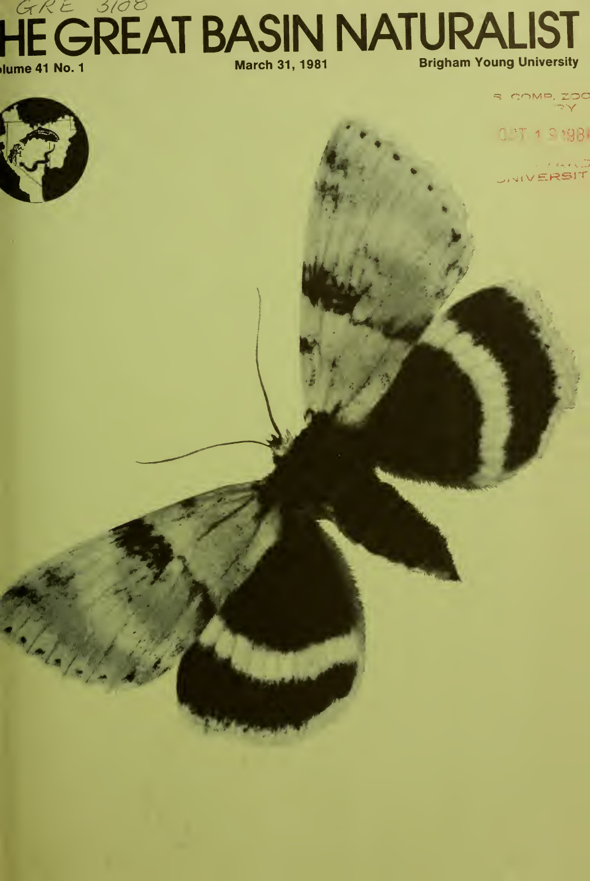### HE GREAT BASIN NATURALIST Jume 41 No. 1 **March 31, 1981 Brigham Young University**

S COMP ZOO

# $0.77 + 0.198$



Mala